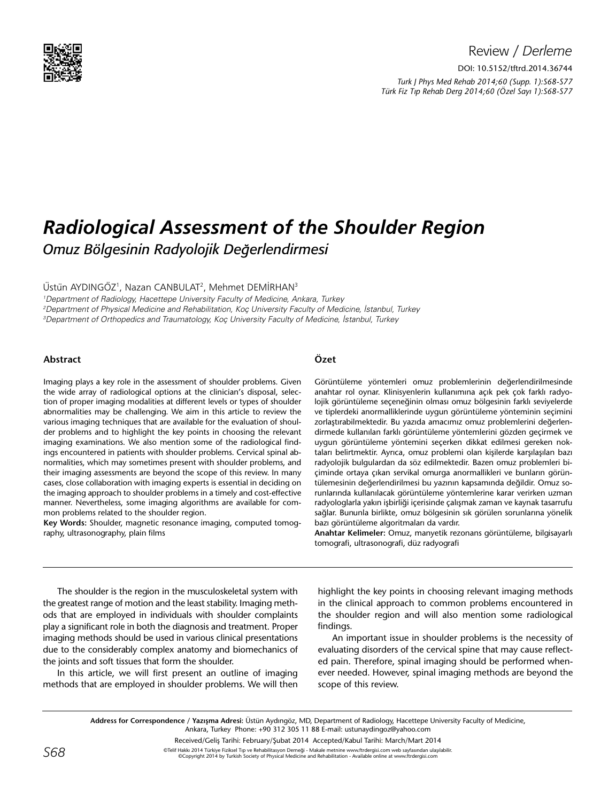

## Review / *Derleme*

DOI: 10.5152/tftrd.2014.36744

*Turk J Phys Med Rehab 2014;60 (Supp. 1):S68-S77 Türk Fiz T›p Rehab Derg 2014;60 (Özel Sayı 1):S68-S77*

# *Radiological Assessment of the Shoulder Region Omuz Bölgesinin Radyolojik Değerlendirmesi*

## Üstün AYDINGÖZ<sup>1</sup>, Nazan CANBULAT<sup>2</sup>, Mehmet DEMİRHAN<sup>3</sup>

1 Department of Radiology, Hacettepe University Faculty of Medicine, Ankara, Turkey 2 Department of Physical Medicine and Rehabilitation, Koç University Faculty of Medicine, İstanbul, Turkey 3 Department of Orthopedics and Traumatology, Koç University Faculty of Medicine, İstanbul, Turkey

#### **Abstract**

Imaging plays a key role in the assessment of shoulder problems. Given the wide array of radiological options at the clinician's disposal, selection of proper imaging modalities at different levels or types of shoulder abnormalities may be challenging. We aim in this article to review the various imaging techniques that are available for the evaluation of shoulder problems and to highlight the key points in choosing the relevant imaging examinations. We also mention some of the radiological findings encountered in patients with shoulder problems. Cervical spinal abnormalities, which may sometimes present with shoulder problems, and their imaging assessments are beyond the scope of this review. In many cases, close collaboration with imaging experts is essential in deciding on the imaging approach to shoulder problems in a timely and cost-effective manner. Nevertheless, some imaging algorithms are available for common problems related to the shoulder region.

**Key Words:** Shoulder, magnetic resonance imaging, computed tomography, ultrasonography, plain films

## **Özet**

Görüntüleme yöntemleri omuz problemlerinin değerlendirilmesinde anahtar rol oynar. Klinisyenlerin kullanımına açık pek çok farklı radyolojik görüntüleme seçeneğinin olması omuz bölgesinin farklı seviyelerde ve tiplerdeki anormalliklerinde uygun görüntüleme yönteminin seçimini zorlaştırabilmektedir. Bu yazıda amacımız omuz problemlerini değerlendirmede kullanılan farklı görüntüleme yöntemlerini gözden geçirmek ve uygun görüntüleme yöntemini seçerken dikkat edilmesi gereken noktaları belirtmektir. Ayrıca, omuz problemi olan kişilerde karşılaşılan bazı radyolojik bulgulardan da söz edilmektedir. Bazen omuz problemleri biçiminde ortaya çıkan servikal omurga anormallikleri ve bunların görüntülemesinin değerlendirilmesi bu yazının kapsamında değildir. Omuz sorunlarında kullanılacak görüntüleme yöntemlerine karar verirken uzman radyologlarla yakın işbirliği içerisinde çalışmak zaman ve kaynak tasarrufu sağlar. Bununla birlikte, omuz bölgesinin sık görülen sorunlarına yönelik bazı görüntüleme algoritmaları da vardır.

**Anahtar Kelimeler:** Omuz, manyetik rezonans görüntüleme, bilgisayarlı tomografi, ultrasonografi, düz radyografi

The shoulder is the region in the musculoskeletal system with the greatest range of motion and the least stability. Imaging methods that are employed in individuals with shoulder complaints play a significant role in both the diagnosis and treatment. Proper imaging methods should be used in various clinical presentations due to the considerably complex anatomy and biomechanics of the joints and soft tissues that form the shoulder.

In this article, we will first present an outline of imaging methods that are employed in shoulder problems. We will then

highlight the key points in choosing relevant imaging methods in the clinical approach to common problems encountered in the shoulder region and will also mention some radiological findings.

An important issue in shoulder problems is the necessity of evaluating disorders of the cervical spine that may cause reflected pain. Therefore, spinal imaging should be performed whenever needed. However, spinal imaging methods are beyond the scope of this review.

**Address for Correspondence / Yazışma Adresi:** Üstün Aydıngöz, MD, Department of Radiology, Hacettepe University Faculty of Medicine, Ankara, Turkey Phone: +90 312 305 11 88 E-mail: ustunaydingoz@yahoo.com

Received/Geliş Tarihi: February/Şubat 2014 Accepted/Kabul Tarihi: March/Mart 2014

©Telif Hakkı 2014 Türkiye Fiziksel Tıp ve Rehabilitasyon Derneği - Makale metnine www.ftrdergisi.com web sayfasından ulaşılabilir.<br>©Copyriqht 2014 by Turkish Society of Physical Medicine and Rehabilitation - Available onli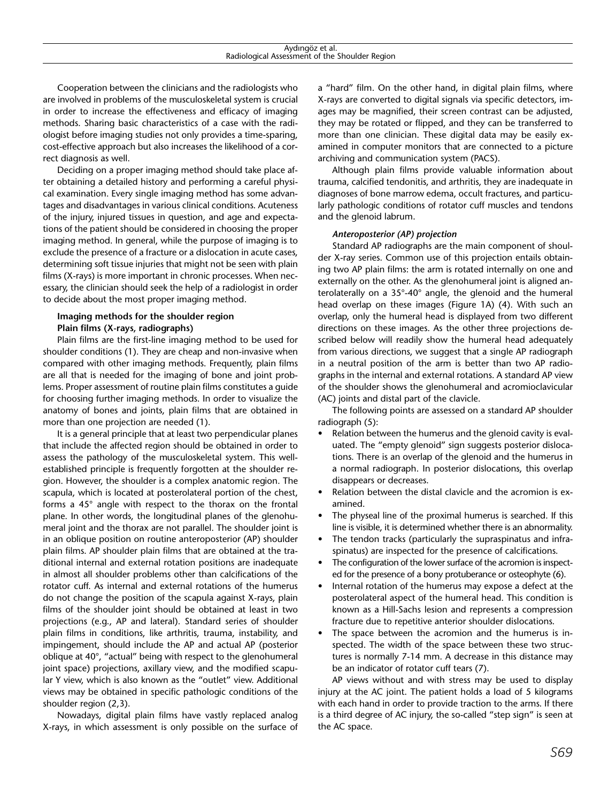Cooperation between the clinicians and the radiologists who are involved in problems of the musculoskeletal system is crucial in order to increase the effectiveness and efficacy of imaging methods. Sharing basic characteristics of a case with the radiologist before imaging studies not only provides a time-sparing, cost-effective approach but also increases the likelihood of a correct diagnosis as well.

Deciding on a proper imaging method should take place after obtaining a detailed history and performing a careful physical examination. Every single imaging method has some advantages and disadvantages in various clinical conditions. Acuteness of the injury, injured tissues in question, and age and expectations of the patient should be considered in choosing the proper imaging method. In general, while the purpose of imaging is to exclude the presence of a fracture or a dislocation in acute cases, determining soft tissue injuries that might not be seen with plain films (X-rays) is more important in chronic processes. When necessary, the clinician should seek the help of a radiologist in order to decide about the most proper imaging method.

## **Imaging methods for the shoulder region Plain films (X-rays, radiographs)**

Plain films are the first-line imaging method to be used for shoulder conditions (1). They are cheap and non-invasive when compared with other imaging methods. Frequently, plain films are all that is needed for the imaging of bone and joint problems. Proper assessment of routine plain films constitutes a guide for choosing further imaging methods. In order to visualize the anatomy of bones and joints, plain films that are obtained in more than one projection are needed (1).

It is a general principle that at least two perpendicular planes that include the affected region should be obtained in order to assess the pathology of the musculoskeletal system. This wellestablished principle is frequently forgotten at the shoulder region. However, the shoulder is a complex anatomic region. The scapula, which is located at posterolateral portion of the chest, forms a 45° angle with respect to the thorax on the frontal plane. In other words, the longitudinal planes of the glenohumeral joint and the thorax are not parallel. The shoulder joint is in an oblique position on routine anteroposterior (AP) shoulder plain films. AP shoulder plain films that are obtained at the traditional internal and external rotation positions are inadequate in almost all shoulder problems other than calcifications of the rotator cuff. As internal and external rotations of the humerus do not change the position of the scapula against X-rays, plain films of the shoulder joint should be obtained at least in two projections (e.g., AP and lateral). Standard series of shoulder plain films in conditions, like arthritis, trauma, instability, and impingement, should include the AP and actual AP (posterior oblique at 40°, "actual" being with respect to the glenohumeral joint space) projections, axillary view, and the modified scapular Y view, which is also known as the "outlet" view. Additional views may be obtained in specific pathologic conditions of the shoulder region (2,3).

Nowadays, digital plain films have vastly replaced analog X-rays, in which assessment is only possible on the surface of a "hard" film. On the other hand, in digital plain films, where X-rays are converted to digital signals via specific detectors, images may be magnified, their screen contrast can be adjusted, they may be rotated or flipped, and they can be transferred to more than one clinician. These digital data may be easily examined in computer monitors that are connected to a picture archiving and communication system (PACS).

Although plain films provide valuable information about trauma, calcified tendonitis, and arthritis, they are inadequate in diagnoses of bone marrow edema, occult fractures, and particularly pathologic conditions of rotator cuff muscles and tendons and the glenoid labrum.

#### *Anteroposterior (AP) projection*

Standard AP radiographs are the main component of shoulder X-ray series. Common use of this projection entails obtaining two AP plain films: the arm is rotated internally on one and externally on the other. As the glenohumeral joint is aligned anterolaterally on a 35°-40° angle, the glenoid and the humeral head overlap on these images (Figure 1A) (4). With such an overlap, only the humeral head is displayed from two different directions on these images. As the other three projections described below will readily show the humeral head adequately from various directions, we suggest that a single AP radiograph in a neutral position of the arm is better than two AP radiographs in the internal and external rotations. A standard AP view of the shoulder shows the glenohumeral and acromioclavicular (AC) joints and distal part of the clavicle.

The following points are assessed on a standard AP shoulder radiograph (5):

- Relation between the humerus and the glenoid cavity is evaluated. The "empty glenoid" sign suggests posterior dislocations. There is an overlap of the glenoid and the humerus in a normal radiograph. In posterior dislocations, this overlap disappears or decreases.
- Relation between the distal clavicle and the acromion is examined.
- The physeal line of the proximal humerus is searched. If this line is visible, it is determined whether there is an abnormality.
- The tendon tracks (particularly the supraspinatus and infraspinatus) are inspected for the presence of calcifications.
- The configuration of the lower surface of the acromion is inspected for the presence of a bony protuberance or osteophyte (6).
- Internal rotation of the humerus may expose a defect at the posterolateral aspect of the humeral head. This condition is known as a Hill-Sachs lesion and represents a compression fracture due to repetitive anterior shoulder dislocations.
- The space between the acromion and the humerus is inspected. The width of the space between these two structures is normally 7-14 mm. A decrease in this distance may be an indicator of rotator cuff tears (7).

AP views without and with stress may be used to display injury at the AC joint. The patient holds a load of 5 kilograms with each hand in order to provide traction to the arms. If there is a third degree of AC injury, the so-called "step sign" is seen at the AC space.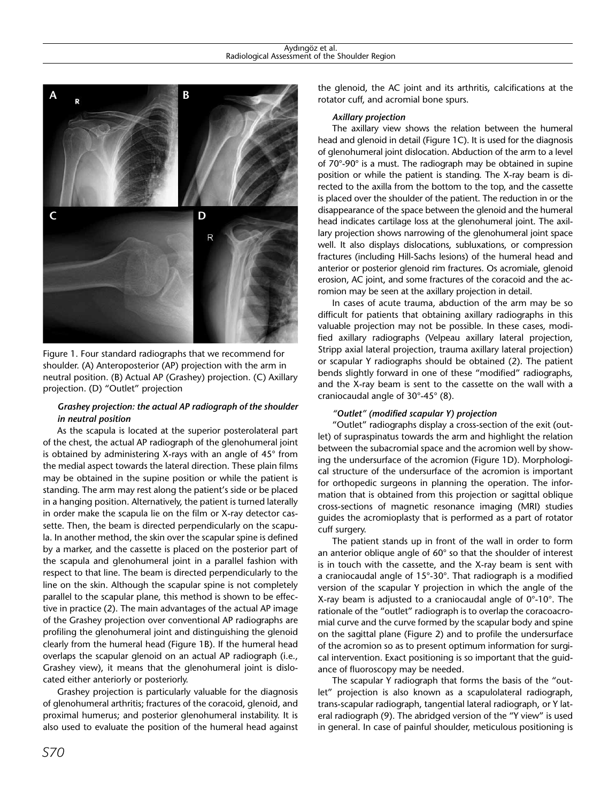

Figure 1. Four standard radiographs that we recommend for shoulder. (A) Anteroposterior (AP) projection with the arm in neutral position. (B) Actual AP (Grashey) projection. (C) Axillary projection. (D) "Outlet" projection

## *Grashey projection: the actual AP radiograph of the shoulder in neutral position*

As the scapula is located at the superior posterolateral part of the chest, the actual AP radiograph of the glenohumeral joint is obtained by administering X-rays with an angle of 45° from the medial aspect towards the lateral direction. These plain films may be obtained in the supine position or while the patient is standing. The arm may rest along the patient's side or be placed in a hanging position. Alternatively, the patient is turned laterally in order make the scapula lie on the film or X-ray detector cassette. Then, the beam is directed perpendicularly on the scapula. In another method, the skin over the scapular spine is defined by a marker, and the cassette is placed on the posterior part of the scapula and glenohumeral joint in a parallel fashion with respect to that line. The beam is directed perpendicularly to the line on the skin. Although the scapular spine is not completely parallel to the scapular plane, this method is shown to be effective in practice (2). The main advantages of the actual AP image of the Grashey projection over conventional AP radiographs are profiling the glenohumeral joint and distinguishing the glenoid clearly from the humeral head (Figure 1B). If the humeral head overlaps the scapular glenoid on an actual AP radiograph (i.e., Grashey view), it means that the glenohumeral joint is dislocated either anteriorly or posteriorly.

Grashey projection is particularly valuable for the diagnosis of glenohumeral arthritis; fractures of the coracoid, glenoid, and proximal humerus; and posterior glenohumeral instability. It is also used to evaluate the position of the humeral head against the glenoid, the AC joint and its arthritis, calcifications at the rotator cuff, and acromial bone spurs.

## *Axillary projection*

The axillary view shows the relation between the humeral head and glenoid in detail (Figure 1C). It is used for the diagnosis of glenohumeral joint dislocation. Abduction of the arm to a level of 70°-90° is a must. The radiograph may be obtained in supine position or while the patient is standing. The X-ray beam is directed to the axilla from the bottom to the top, and the cassette is placed over the shoulder of the patient. The reduction in or the disappearance of the space between the glenoid and the humeral head indicates cartilage loss at the glenohumeral joint. The axillary projection shows narrowing of the glenohumeral joint space well. It also displays dislocations, subluxations, or compression fractures (including Hill-Sachs lesions) of the humeral head and anterior or posterior glenoid rim fractures. Os acromiale, glenoid erosion, AC joint, and some fractures of the coracoid and the acromion may be seen at the axillary projection in detail.

In cases of acute trauma, abduction of the arm may be so difficult for patients that obtaining axillary radiographs in this valuable projection may not be possible. In these cases, modified axillary radiographs (Velpeau axillary lateral projection, Stripp axial lateral projection, trauma axillary lateral projection) or scapular Y radiographs should be obtained (2). The patient bends slightly forward in one of these "modified" radiographs, and the X-ray beam is sent to the cassette on the wall with a craniocaudal angle of 30°-45° (8).

## *"Outlet" (modified scapular Y) projection*

"Outlet" radiographs display a cross-section of the exit (outlet) of supraspinatus towards the arm and highlight the relation between the subacromial space and the acromion well by showing the undersurface of the acromion (Figure 1D). Morphological structure of the undersurface of the acromion is important for orthopedic surgeons in planning the operation. The information that is obtained from this projection or sagittal oblique cross-sections of magnetic resonance imaging (MRI) studies guides the acromioplasty that is performed as a part of rotator cuff surgery.

The patient stands up in front of the wall in order to form an anterior oblique angle of 60° so that the shoulder of interest is in touch with the cassette, and the X-ray beam is sent with a craniocaudal angle of 15°-30°. That radiograph is a modified version of the scapular Y projection in which the angle of the X-ray beam is adjusted to a craniocaudal angle of 0°-10°. The rationale of the "outlet" radiograph is to overlap the coracoacromial curve and the curve formed by the scapular body and spine on the sagittal plane (Figure 2) and to profile the undersurface of the acromion so as to present optimum information for surgical intervention. Exact positioning is so important that the guidance of fluoroscopy may be needed.

The scapular Y radiograph that forms the basis of the "outlet" projection is also known as a scapulolateral radiograph, trans-scapular radiograph, tangential lateral radiograph, or Y lateral radiograph (9). The abridged version of the "Y view" is used in general. In case of painful shoulder, meticulous positioning is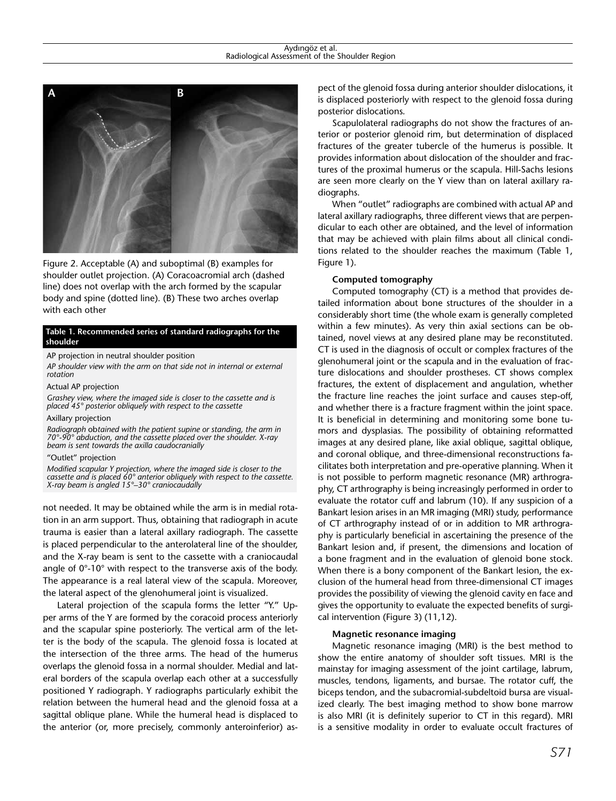

Figure 2. Acceptable (A) and suboptimal (B) examples for shoulder outlet projection. (A) Coracoacromial arch (dashed line) does not overlap with the arch formed by the scapular body and spine (dotted line). (B) These two arches overlap with each other

#### **Table 1. Recommended series of standard radiographs for the shoulder**

#### AP projection in neutral shoulder position

*AP shoulder view with the arm on that side not in internal or external rotation*

Actual AP projection

*Grashey view, where the imaged side is closer to the cassette and is placed 45° posterior obliquely with respect to the cassette*

#### Axillary projection

*Radiograph* ob*tained with the patient supine or standing, the arm in 70°-90° abduction, and the cassette placed over the shoulder. X-ray beam is sent towards the axilla caudocranially*

#### "Outlet" projection

*Modified scapular Y projection, where the imaged side is closer to the cassette and is placed 60° anterior obliquely with respect to the cassette. X-ray beam is angled 15°–30° craniocaudally*

not needed. It may be obtained while the arm is in medial rotation in an arm support. Thus, obtaining that radiograph in acute trauma is easier than a lateral axillary radiograph. The cassette is placed perpendicular to the anterolateral line of the shoulder, and the X-ray beam is sent to the cassette with a craniocaudal angle of 0°-10° with respect to the transverse axis of the body. The appearance is a real lateral view of the scapula. Moreover, the lateral aspect of the glenohumeral joint is visualized.

Lateral projection of the scapula forms the letter "Y." Upper arms of the Y are formed by the coracoid process anteriorly and the scapular spine posteriorly. The vertical arm of the letter is the body of the scapula. The glenoid fossa is located at the intersection of the three arms. The head of the humerus overlaps the glenoid fossa in a normal shoulder. Medial and lateral borders of the scapula overlap each other at a successfully positioned Y radiograph. Y radiographs particularly exhibit the relation between the humeral head and the glenoid fossa at a sagittal oblique plane. While the humeral head is displaced to the anterior (or, more precisely, commonly anteroinferior) aspect of the glenoid fossa during anterior shoulder dislocations, it is displaced posteriorly with respect to the glenoid fossa during posterior dislocations.

Scapulolateral radiographs do not show the fractures of anterior or posterior glenoid rim, but determination of displaced fractures of the greater tubercle of the humerus is possible. It provides information about dislocation of the shoulder and fractures of the proximal humerus or the scapula. Hill-Sachs lesions are seen more clearly on the Y view than on lateral axillary radiographs.

When "outlet" radiographs are combined with actual AP and lateral axillary radiographs, three different views that are perpendicular to each other are obtained, and the level of information that may be achieved with plain films about all clinical conditions related to the shoulder reaches the maximum (Table 1, Figure 1).

#### **Computed tomography**

Computed tomography (CT) is a method that provides detailed information about bone structures of the shoulder in a considerably short time (the whole exam is generally completed within a few minutes). As very thin axial sections can be obtained, novel views at any desired plane may be reconstituted. CT is used in the diagnosis of occult or complex fractures of the glenohumeral joint or the scapula and in the evaluation of fracture dislocations and shoulder prostheses. CT shows complex fractures, the extent of displacement and angulation, whether the fracture line reaches the joint surface and causes step-off, and whether there is a fracture fragment within the joint space. It is beneficial in determining and monitoring some bone tumors and dysplasias. The possibility of obtaining reformatted images at any desired plane, like axial oblique, sagittal oblique, and coronal oblique, and three-dimensional reconstructions facilitates both interpretation and pre-operative planning. When it is not possible to perform magnetic resonance (MR) arthrography, CT arthrography is being increasingly performed in order to evaluate the rotator cuff and labrum (10). If any suspicion of a Bankart lesion arises in an MR imaging (MRI) study, performance of CT arthrography instead of or in addition to MR arthrography is particularly beneficial in ascertaining the presence of the Bankart lesion and, if present, the dimensions and location of a bone fragment and in the evaluation of glenoid bone stock. When there is a bony component of the Bankart lesion, the exclusion of the humeral head from three-dimensional CT images provides the possibility of viewing the glenoid cavity en face and gives the opportunity to evaluate the expected benefits of surgical intervention (Figure 3) (11,12).

#### **Magnetic resonance imaging**

Magnetic resonance imaging (MRI) is the best method to show the entire anatomy of shoulder soft tissues. MRI is the mainstay for imaging assessment of the joint cartilage, labrum, muscles, tendons, ligaments, and bursae. The rotator cuff, the biceps tendon, and the subacromial-subdeltoid bursa are visualized clearly. The best imaging method to show bone marrow is also MRI (it is definitely superior to CT in this regard). MRI is a sensitive modality in order to evaluate occult fractures of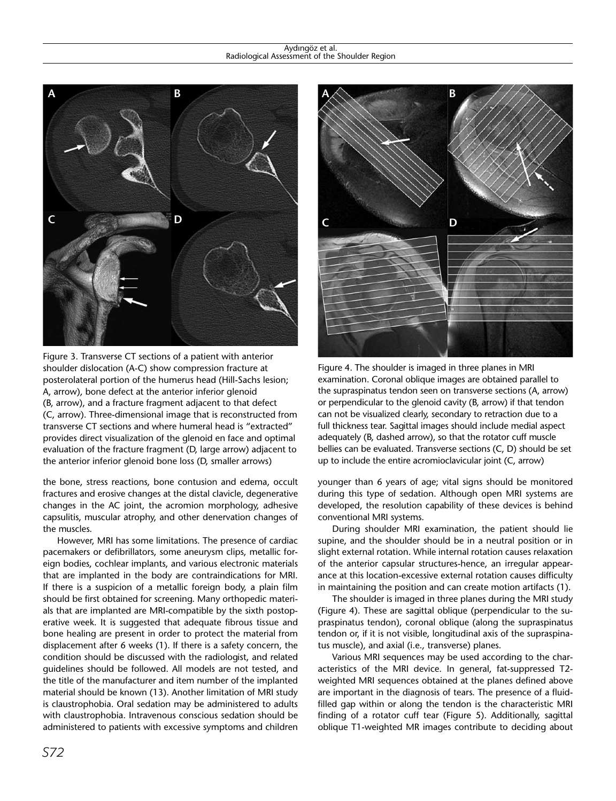#### Aydıngöz et al. Radiological Assessment of the Shoulder Region



Figure 3. Transverse CT sections of a patient with anterior shoulder dislocation (A-C) show compression fracture at posterolateral portion of the humerus head (Hill-Sachs lesion; A, arrow), bone defect at the anterior inferior glenoid (B, arrow), and a fracture fragment adjacent to that defect (C, arrow). Three-dimensional image that is reconstructed from transverse CT sections and where humeral head is "extracted" provides direct visualization of the glenoid en face and optimal evaluation of the fracture fragment (D, large arrow) adjacent to the anterior inferior glenoid bone loss (D, smaller arrows)

the bone, stress reactions, bone contusion and edema, occult fractures and erosive changes at the distal clavicle, degenerative changes in the AC joint, the acromion morphology, adhesive capsulitis, muscular atrophy, and other denervation changes of the muscles.

However, MRI has some limitations. The presence of cardiac pacemakers or defibrillators, some aneurysm clips, metallic foreign bodies, cochlear implants, and various electronic materials that are implanted in the body are contraindications for MRI. If there is a suspicion of a metallic foreign body, a plain film should be first obtained for screening. Many orthopedic materials that are implanted are MRI-compatible by the sixth postoperative week. It is suggested that adequate fibrous tissue and bone healing are present in order to protect the material from displacement after 6 weeks (1). If there is a safety concern, the condition should be discussed with the radiologist, and related guidelines should be followed. All models are not tested, and the title of the manufacturer and item number of the implanted material should be known (13). Another limitation of MRI study is claustrophobia. Oral sedation may be administered to adults with claustrophobia. Intravenous conscious sedation should be administered to patients with excessive symptoms and children



Figure 4. The shoulder is imaged in three planes in MRI examination. Coronal oblique images are obtained parallel to the supraspinatus tendon seen on transverse sections (A, arrow) or perpendicular to the glenoid cavity (B, arrow) if that tendon can not be visualized clearly, secondary to retraction due to a full thickness tear. Sagittal images should include medial aspect adequately (B, dashed arrow), so that the rotator cuff muscle bellies can be evaluated. Transverse sections (C, D) should be set up to include the entire acromioclavicular joint (C, arrow)

younger than 6 years of age; vital signs should be monitored during this type of sedation. Although open MRI systems are developed, the resolution capability of these devices is behind conventional MRI systems.

During shoulder MRI examination, the patient should lie supine, and the shoulder should be in a neutral position or in slight external rotation. While internal rotation causes relaxation of the anterior capsular structures-hence, an irregular appearance at this location-excessive external rotation causes difficulty in maintaining the position and can create motion artifacts (1).

The shoulder is imaged in three planes during the MRI study (Figure 4). These are sagittal oblique (perpendicular to the supraspinatus tendon), coronal oblique (along the supraspinatus tendon or, if it is not visible, longitudinal axis of the supraspinatus muscle), and axial (i.e., transverse) planes.

Various MRI sequences may be used according to the characteristics of the MRI device. In general, fat-suppressed T2 weighted MRI sequences obtained at the planes defined above are important in the diagnosis of tears. The presence of a fluidfilled gap within or along the tendon is the characteristic MRI finding of a rotator cuff tear (Figure 5). Additionally, sagittal oblique T1-weighted MR images contribute to deciding about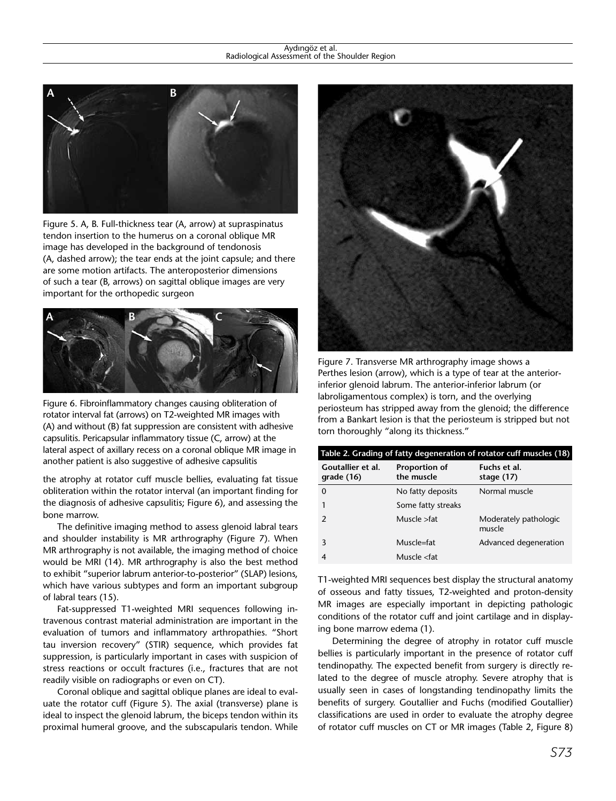#### Aydıngöz et al. Radiological Assessment of the Shoulder Region



Figure 5. A, B. Full-thickness tear (A, arrow) at supraspinatus tendon insertion to the humerus on a coronal oblique MR image has developed in the background of tendonosis (A, dashed arrow); the tear ends at the joint capsule; and there are some motion artifacts. The anteroposterior dimensions of such a tear (B, arrows) on sagittal oblique images are very important for the orthopedic surgeon



Figure 6. Fibroinflammatory changes causing obliteration of rotator interval fat (arrows) on T2-weighted MR images with (A) and without (B) fat suppression are consistent with adhesive capsulitis. Pericapsular inflammatory tissue (C, arrow) at the lateral aspect of axillary recess on a coronal oblique MR image in another patient is also suggestive of adhesive capsulitis

the atrophy at rotator cuff muscle bellies, evaluating fat tissue obliteration within the rotator interval (an important finding for the diagnosis of adhesive capsulitis; Figure 6), and assessing the bone marrow.

The definitive imaging method to assess glenoid labral tears and shoulder instability is MR arthrography (Figure 7). When MR arthrography is not available, the imaging method of choice would be MRI (14). MR arthrography is also the best method to exhibit "superior labrum anterior-to-posterior" (SLAP) lesions, which have various subtypes and form an important subgroup of labral tears (15).

Fat-suppressed T1-weighted MRI sequences following intravenous contrast material administration are important in the evaluation of tumors and inflammatory arthropathies. "Short tau inversion recovery" (STIR) sequence, which provides fat suppression, is particularly important in cases with suspicion of stress reactions or occult fractures (i.e., fractures that are not readily visible on radiographs or even on CT).

Coronal oblique and sagittal oblique planes are ideal to evaluate the rotator cuff (Figure 5). The axial (transverse) plane is ideal to inspect the glenoid labrum, the biceps tendon within its proximal humeral groove, and the subscapularis tendon. While



Figure 7. Transverse MR arthrography image shows a Perthes lesion (arrow), which is a type of tear at the anteriorinferior glenoid labrum. The anterior-inferior labrum (or labroligamentous complex) is torn, and the overlying periosteum has stripped away from the glenoid; the difference from a Bankart lesion is that the periosteum is stripped but not torn thoroughly "along its thickness."

| Table 2. Grading of fatty degeneration of rotator cuff muscles (18) |                                     |                                 |
|---------------------------------------------------------------------|-------------------------------------|---------------------------------|
| Goutallier et al.<br>grade(16)                                      | <b>Proportion of</b><br>the muscle  | Fuchs et al.<br>stage $(17)$    |
| O                                                                   | No fatty deposits                   | Normal muscle                   |
|                                                                     | Some fatty streaks                  |                                 |
| $\mathcal{P}$                                                       | Muscle >fat                         | Moderately pathologic<br>muscle |
| 3                                                                   | Muscle=fat                          | Advanced degeneration           |
|                                                                     | Muscle <fat< td=""><td></td></fat<> |                                 |

T1-weighted MRI sequences best display the structural anatomy of osseous and fatty tissues, T2-weighted and proton-density MR images are especially important in depicting pathologic conditions of the rotator cuff and joint cartilage and in displaying bone marrow edema (1).

Determining the degree of atrophy in rotator cuff muscle bellies is particularly important in the presence of rotator cuff tendinopathy. The expected benefit from surgery is directly related to the degree of muscle atrophy. Severe atrophy that is usually seen in cases of longstanding tendinopathy limits the benefits of surgery. Goutallier and Fuchs (modified Goutallier) classifications are used in order to evaluate the atrophy degree of rotator cuff muscles on CT or MR images (Table 2, Figure 8)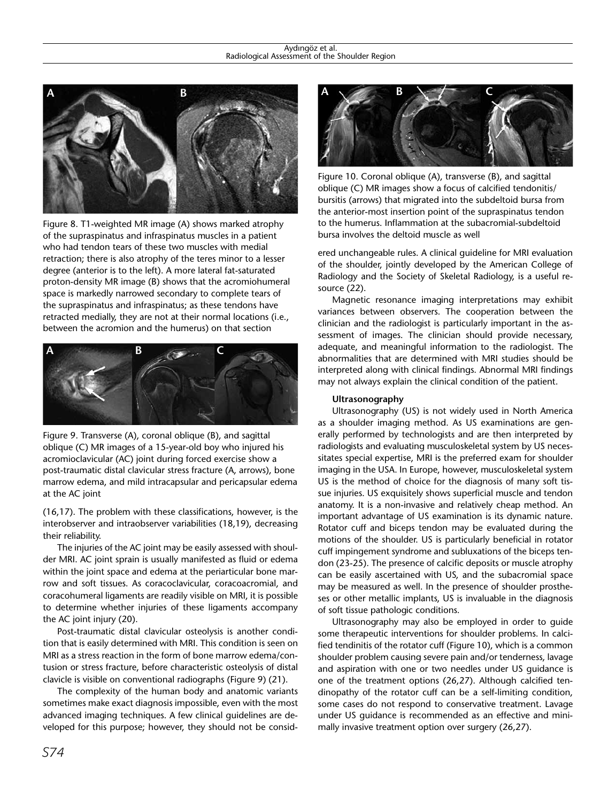

Figure 8. T1-weighted MR image (A) shows marked atrophy of the supraspinatus and infraspinatus muscles in a patient who had tendon tears of these two muscles with medial retraction; there is also atrophy of the teres minor to a lesser degree (anterior is to the left). A more lateral fat-saturated proton-density MR image (B) shows that the acromiohumeral space is markedly narrowed secondary to complete tears of the supraspinatus and infraspinatus; as these tendons have retracted medially, they are not at their normal locations (i.e., between the acromion and the humerus) on that section



Figure 9. Transverse (A), coronal oblique (B), and sagittal oblique (C) MR images of a 15-year-old boy who injured his acromioclavicular (AC) joint during forced exercise show a post-traumatic distal clavicular stress fracture (A, arrows), bone marrow edema, and mild intracapsular and pericapsular edema at the AC joint

(16,17). The problem with these classifications, however, is the interobserver and intraobserver variabilities (18,19), decreasing their reliability.

The injuries of the AC joint may be easily assessed with shoulder MRI. AC joint sprain is usually manifested as fluid or edema within the joint space and edema at the periarticular bone marrow and soft tissues. As coracoclavicular, coracoacromial, and coracohumeral ligaments are readily visible on MRI, it is possible to determine whether injuries of these ligaments accompany the AC joint injury (20).

Post-traumatic distal clavicular osteolysis is another condition that is easily determined with MRI. This condition is seen on MRI as a stress reaction in the form of bone marrow edema/contusion or stress fracture, before characteristic osteolysis of distal clavicle is visible on conventional radiographs (Figure 9) (21).

The complexity of the human body and anatomic variants sometimes make exact diagnosis impossible, even with the most advanced imaging techniques. A few clinical guidelines are developed for this purpose; however, they should not be consid-



Figure 10. Coronal oblique (A), transverse (B), and sagittal oblique (C) MR images show a focus of calcified tendonitis/ bursitis (arrows) that migrated into the subdeltoid bursa from the anterior-most insertion point of the supraspinatus tendon to the humerus. Inflammation at the subacromial-subdeltoid bursa involves the deltoid muscle as well

ered unchangeable rules. A clinical guideline for MRI evaluation of the shoulder, jointly developed by the American College of Radiology and the Society of Skeletal Radiology, is a useful resource (22).

Magnetic resonance imaging interpretations may exhibit variances between observers. The cooperation between the clinician and the radiologist is particularly important in the assessment of images. The clinician should provide necessary, adequate, and meaningful information to the radiologist. The abnormalities that are determined with MRI studies should be interpreted along with clinical findings. Abnormal MRI findings may not always explain the clinical condition of the patient.

#### **Ultrasonography**

Ultrasonography (US) is not widely used in North America as a shoulder imaging method. As US examinations are generally performed by technologists and are then interpreted by radiologists and evaluating musculoskeletal system by US necessitates special expertise, MRI is the preferred exam for shoulder imaging in the USA. In Europe, however, musculoskeletal system US is the method of choice for the diagnosis of many soft tissue injuries. US exquisitely shows superficial muscle and tendon anatomy. It is a non-invasive and relatively cheap method. An important advantage of US examination is its dynamic nature. Rotator cuff and biceps tendon may be evaluated during the motions of the shoulder. US is particularly beneficial in rotator cuff impingement syndrome and subluxations of the biceps tendon (23-25). The presence of calcific deposits or muscle atrophy can be easily ascertained with US, and the subacromial space may be measured as well. In the presence of shoulder prostheses or other metallic implants, US is invaluable in the diagnosis of soft tissue pathologic conditions.

Ultrasonography may also be employed in order to guide some therapeutic interventions for shoulder problems. In calcified tendinitis of the rotator cuff (Figure 10), which is a common shoulder problem causing severe pain and/or tenderness, lavage and aspiration with one or two needles under US guidance is one of the treatment options (26,27). Although calcified tendinopathy of the rotator cuff can be a self-limiting condition, some cases do not respond to conservative treatment. Lavage under US guidance is recommended as an effective and minimally invasive treatment option over surgery (26,27).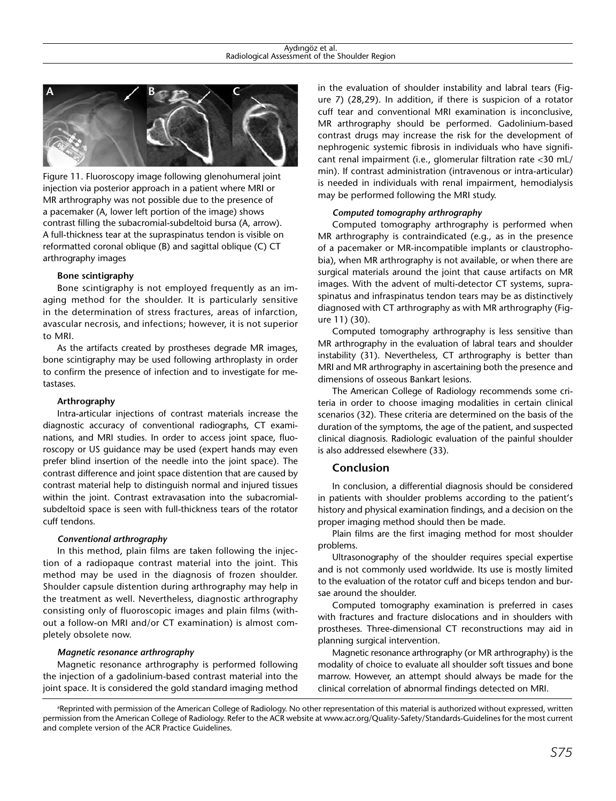

Figure 11. Fluoroscopy image following glenohumeral joint injection via posterior approach in a patient where MRI or MR arthrography was not possible due to the presence of a pacemaker (A, lower left portion of the image) shows contrast filling the subacromial-subdeltoid bursa (A, arrow). A full-thickness tear at the supraspinatus tendon is visible on reformatted coronal oblique (B) and sagittal oblique (C) CT arthrography images

#### **Bone scintigraphy**

Bone scintigraphy is not employed frequently as an imaging method for the shoulder. It is particularly sensitive in the determination of stress fractures, areas of infarction, avascular necrosis, and infections; however, it is not superior to MRI.

As the artifacts created by prostheses degrade MR images, bone scintigraphy may be used following arthroplasty in order to confirm the presence of infection and to investigate for metastases.

#### **Arthrography**

Intra-articular injections of contrast materials increase the diagnostic accuracy of conventional radiographs, CT examinations, and MRI studies. In order to access joint space, fluoroscopy or US guidance may be used (expert hands may even prefer blind insertion of the needle into the joint space). The contrast difference and joint space distention that are caused by contrast material help to distinguish normal and injured tissues within the joint. Contrast extravasation into the subacromialsubdeltoid space is seen with full-thickness tears of the rotator cuff tendons.

#### *Conventional arthrography*

In this method, plain films are taken following the injection of a radiopaque contrast material into the joint. This method may be used in the diagnosis of frozen shoulder. Shoulder capsule distention during arthrography may help in the treatment as well. Nevertheless, diagnostic arthrography consisting only of fluoroscopic images and plain films (without a follow-on MRI and/or CT examination) is almost completely obsolete now.

## *Magnetic resonance arthrography*

Magnetic resonance arthrography is performed following the injection of a gadolinium-based contrast material into the joint space. It is considered the gold standard imaging method in the evaluation of shoulder instability and labral tears (Figure 7) (28,29). In addition, if there is suspicion of a rotator cuff tear and conventional MRI examination is inconclusive, MR arthrography should be performed. Gadolinium-based contrast drugs may increase the risk for the development of nephrogenic systemic fibrosis in individuals who have significant renal impairment (i.e., glomerular filtration rate <30 mL/ min). If contrast administration (intravenous or intra-articular) is needed in individuals with renal impairment, hemodialysis may be performed following the MRI study.

#### *Computed tomography arthrography*

Computed tomography arthrography is performed when MR arthrography is contraindicated (e.g., as in the presence of a pacemaker or MR-incompatible implants or claustrophobia), when MR arthrography is not available, or when there are surgical materials around the joint that cause artifacts on MR images. With the advent of multi-detector CT systems, supraspinatus and infraspinatus tendon tears may be as distinctively diagnosed with CT arthrography as with MR arthrography (Figure 11) (30).

Computed tomography arthrography is less sensitive than MR arthrography in the evaluation of labral tears and shoulder instability (31). Nevertheless, CT arthrography is better than MRI and MR arthrography in ascertaining both the presence and dimensions of osseous Bankart lesions.

The American College of Radiology recommends some criteria in order to choose imaging modalities in certain clinical scenarios (32). These criteria are determined on the basis of the duration of the symptoms, the age of the patient, and suspected clinical diagnosis. Radiologic evaluation of the painful shoulder is also addressed elsewhere (33).

## **Conclusion**

In conclusion, a differential diagnosis should be considered in patients with shoulder problems according to the patient's history and physical examination findings, and a decision on the proper imaging method should then be made.

Plain films are the first imaging method for most shoulder problems.

Ultrasonography of the shoulder requires special expertise and is not commonly used worldwide. Its use is mostly limited to the evaluation of the rotator cuff and biceps tendon and bursae around the shoulder.

Computed tomography examination is preferred in cases with fractures and fracture dislocations and in shoulders with prostheses. Three-dimensional CT reconstructions may aid in planning surgical intervention.

Magnetic resonance arthrography (or MR arthrography) is the modality of choice to evaluate all shoulder soft tissues and bone marrow. However, an attempt should always be made for the clinical correlation of abnormal findings detected on MRI.

a Reprinted with permission of the American College of Radiology. No other representation of this material is authorized without expressed, written permission from the American College of Radiology. Refer to the ACR website at www.acr.org/Quality-Safety/Standards-Guidelines for the most current and complete version of the ACR Practice Guidelines.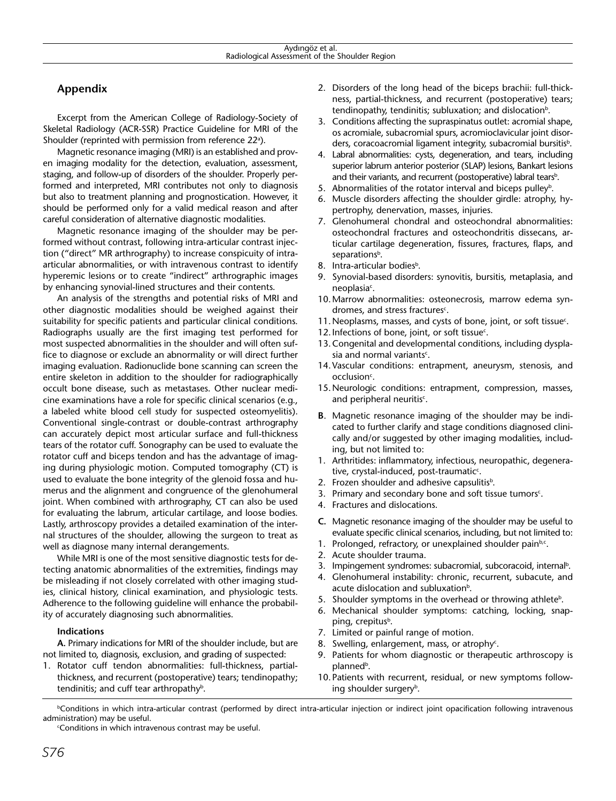## **Appendix**

Excerpt from the American College of Radiology-Society of Skeletal Radiology (ACR-SSR) Practice Guideline for MRI of the Shoulder (reprinted with permission from reference 22<sup>a</sup>).

Magnetic resonance imaging (MRI) is an established and proven imaging modality for the detection, evaluation, assessment, staging, and follow-up of disorders of the shoulder. Properly performed and interpreted, MRI contributes not only to diagnosis but also to treatment planning and prognostication. However, it should be performed only for a valid medical reason and after careful consideration of alternative diagnostic modalities.

Magnetic resonance imaging of the shoulder may be performed without contrast, following intra-articular contrast injection ("direct" MR arthrography) to increase conspicuity of intraarticular abnormalities, or with intravenous contrast to identify hyperemic lesions or to create "indirect" arthrographic images by enhancing synovial-lined structures and their contents.

An analysis of the strengths and potential risks of MRI and other diagnostic modalities should be weighed against their suitability for specific patients and particular clinical conditions. Radiographs usually are the first imaging test performed for most suspected abnormalities in the shoulder and will often suffice to diagnose or exclude an abnormality or will direct further imaging evaluation. Radionuclide bone scanning can screen the entire skeleton in addition to the shoulder for radiographically occult bone disease, such as metastases. Other nuclear medicine examinations have a role for specific clinical scenarios (e.g., a labeled white blood cell study for suspected osteomyelitis). Conventional single-contrast or double-contrast arthrography can accurately depict most articular surface and full-thickness tears of the rotator cuff. Sonography can be used to evaluate the rotator cuff and biceps tendon and has the advantage of imaging during physiologic motion. Computed tomography (CT) is used to evaluate the bone integrity of the glenoid fossa and humerus and the alignment and congruence of the glenohumeral joint. When combined with arthrography, CT can also be used for evaluating the labrum, articular cartilage, and loose bodies. Lastly, arthroscopy provides a detailed examination of the internal structures of the shoulder, allowing the surgeon to treat as well as diagnose many internal derangements.

While MRI is one of the most sensitive diagnostic tests for detecting anatomic abnormalities of the extremities, findings may be misleading if not closely correlated with other imaging studies, clinical history, clinical examination, and physiologic tests. Adherence to the following guideline will enhance the probability of accurately diagnosing such abnormalities.

#### **Indications**

**A.** Primary indications for MRI of the shoulder include, but are not limited to, diagnosis, exclusion, and grading of suspected:

1. Rotator cuff tendon abnormalities: full-thickness, partialthickness, and recurrent (postoperative) tears; tendinopathy; tendinitis; and cuff tear arthropathy<sup>b</sup>.

- 2. Disorders of the long head of the biceps brachii: full-thickness, partial-thickness, and recurrent (postoperative) tears; tendinopathy, tendinitis; subluxation; and dislocation<sup>b</sup>.
- 3. Conditions affecting the supraspinatus outlet: acromial shape, os acromiale, subacromial spurs, acromioclavicular joint disorders, coracoacromial ligament integrity, subacromial bursitis<sup>b</sup>.
- 4. Labral abnormalities: cysts, degeneration, and tears, including superior labrum anterior posterior (SLAP) lesions, Bankart lesions and their variants, and recurrent (postoperative) labral tears<sup>b</sup>.
- 5. Abnormalities of the rotator interval and biceps pulley<sup>b</sup>.
- 6. Muscle disorders affecting the shoulder girdle: atrophy, hypertrophy, denervation, masses, injuries.
- 7. Glenohumeral chondral and osteochondral abnormalities: osteochondral fractures and osteochondritis dissecans, articular cartilage degeneration, fissures, fractures, flaps, and separations<sup>b</sup>.
- 8. Intra-articular bodies<sup>b</sup>.
- 9. Synovial-based disorders: synovitis, bursitis, metaplasia, and neoplasia<sup>c</sup>.
- 10.Marrow abnormalities: osteonecrosis, marrow edema syndromes, and stress fractures<sup>c</sup>.
- 11. Neoplasms, masses, and cysts of bone, joint, or soft tissue<sup>c</sup>.
- 12. Infections of bone, joint, or soft tissue<sup>c</sup>.
- 13.Congenital and developmental conditions, including dysplasia and normal variants $\epsilon$ .
- 14.Vascular conditions: entrapment, aneurysm, stenosis, and occlusion<sup>c</sup>.
- 15.Neurologic conditions: entrapment, compression, masses, and peripheral neuritis $c$ .
- **B**. Magnetic resonance imaging of the shoulder may be indicated to further clarify and stage conditions diagnosed clinically and/or suggested by other imaging modalities, including, but not limited to:
- 1. Arthritides: inflammatory, infectious, neuropathic, degenerative, crystal-induced, post-traumatic<sup>c</sup>.
- 2. Frozen shoulder and adhesive capsulitis<sup>b</sup>.
- 3. Primary and secondary bone and soft tissue tumors<sup>c</sup>.
- 4. Fractures and dislocations.
- **C.** Magnetic resonance imaging of the shoulder may be useful to evaluate specific clinical scenarios, including, but not limited to:
- 1. Prolonged, refractory, or unexplained shoulder painb,c.
- 2. Acute shoulder trauma.
- 3. Impingement syndromes: subacromial, subcoracoid, internal<sup>b</sup>.
- 4. Glenohumeral instability: chronic, recurrent, subacute, and acute dislocation and subluxation<sup>b</sup>.
- 5. Shoulder symptoms in the overhead or throwing athlete<sup>b</sup>.
- 6. Mechanical shoulder symptoms: catching, locking, snapping, crepitus<sup>b</sup>.
- 7. Limited or painful range of motion.
- 8. Swelling, enlargement, mass, or atrophy $c$ .
- 9. Patients for whom diagnostic or therapeutic arthroscopy is planned<sup>b</sup>.
- 10. Patients with recurrent, residual, or new symptoms following shoulder surgery<sup>b</sup>.

**bConditions in which intra-articular contrast (performed by direct intra-articular injection or indirect joint opacification following intravenous** administration) may be useful.

c Conditions in which intravenous contrast may be useful.